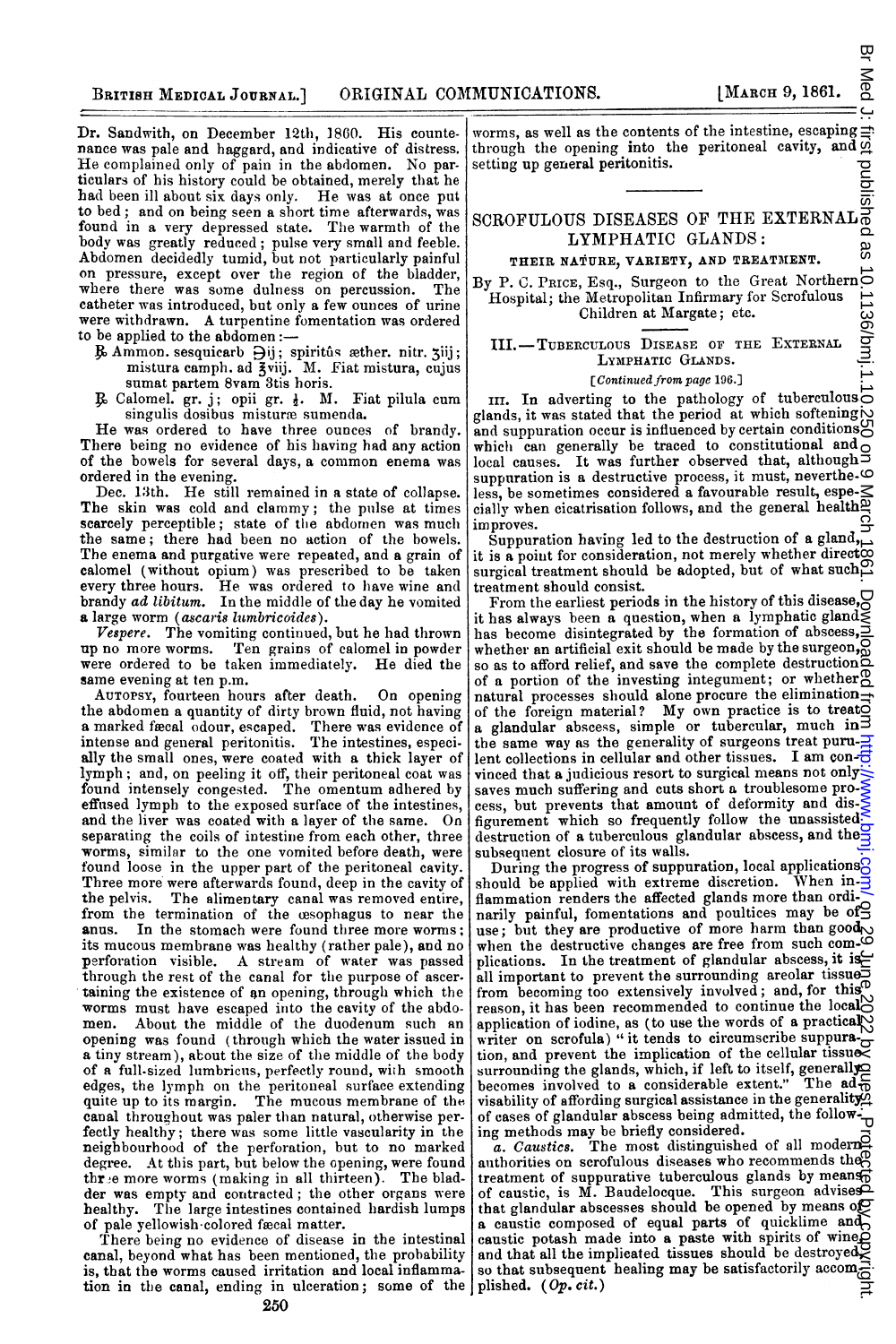쪽

Dr. Sandwith, on December 12th, 1860. His countenance was pale and haggard, and indicative of distress. He complained only of pain in the abdomen. No particulars of his history could be obtained, merely that he had been ill about six days only. He was at once put to bed; and on being seen a short time afterwards, was found in a very depressed state. The warmth of the body was greatly reduced; pulse very small and feeble. Abdomen decidedly tumid, but not particularly painful on pressure, except over the region of the bladder, where there was some dulness on percussion. The catheter was introduced, but only a few ounces of urine were withdrawn. A turpentine fomentation was ordered to be applied to the abdomen:-

- $B$  Ammon. sesquicarb  $\Theta$ ij; spiritûs æther. nitr. 3iij; mistura camph. ad 3viij. M. Fiat mistura, cujus sumat partem 8vam 3tis boris.
- g Calomel. gr. j; opii gr. J. M. Fiat pilula cum singulis dosibus misture sumenda.

He was ordered to have three ounces of brandy. There being no evidence of his having had any action of the bowels for several days, a common enema was ordered in the evening.

Dec. 13th. He still remained in <sup>a</sup> state of collapse. The skin was cold and clammy; the pulse at times scarcely perceptible; state of the abdomen was much the same; there had been no action of the bowels. The enema and purgative were repeated, and a grain of calomel (without opium) was prescribed to be taken every three hours. He was ordered to have wine and<br>brandy *ad libitum*. In the middle of the day he vomited a large worm (ascaris lumbricoides).

Vespere. The vomiting continued, but he had thrown<br>up no more worms. Ten grains of calomel in powder Ten grains of calomel in powder were ordered to be taken immediately. He died the same evening at ten p.m.

AUTOPSY, fourteen hours after death. On opening the abdomen a quantity of dirty brown fluid, not having a marked fecal odour, escaped. There was evidence of intense and general peritonitis. The intestines, especially the small ones, were coated with a thick layer of lymph; and, on peeling it off, their peritoneal coat was found intensely congested. The omentum adhered by effused lymph to the exposed surface of the intestines, and the liver was coated with a layer of the same. On separating the coils of intestine from each other, three worms, similar to the one vomited before death, were found loose in the upper part of the peritoneal cavity. Three more were afterwards found, deep in the cavity of the pelvis. The alimentary canal was removed entire, from the termination of the cesophagus to near the anus. In the stomach were found three more worms; its mucous membrane was healthy (rather pale), and no<br>perforation visible. A stream of water was passed A stream of water was passed through the rest of the canal for the purpose of ascer. taining the existence of 4n opening, through which the worms must have escaped into the cavity of the abdomen. About the middle of the duodenum such an opening was found (through which the water issued in a tiny stream), about the size of the middle of the body of a full-sized lumbricus, perfectly round, with smooth edges, the lymph on the peritoneal surface extending quite up to its margin. The mucous membrane of the canal throughout was paler than natural, otherwise perfectly healthy; there was some little vascularity in the neighbourhood of the perforation, but to no marked degree. At this part, but below the opening, were found three more worms (making in all thirteen). The bladder was empty and contracted; the other organs were<br>healthy. The large intestines contained hardish lumps The large intestines contained hardish lumps of pale yellowish-colored faecal matter.

There being no evidence of disease in the intestinal canal, beyond what has been mentioned, the probability is, that the worms caused irritation and local inflammation in the canal, ending in ulceration; some of the plished.  $(op,cit.)$ 

250

worms, as well as the contents of the intestine, escaping  $\pm$ <br>through the opening into the peritoneal cavity, and  $\vec{a}$ through the opening into the peritoneal cavity, and setting up general peritonitis. published

### SCROFULOUS DISEASES OF THE EXTERNAL LYMPHATIC GLANDS: 98

# THEIR NATURE, VARIETY, AND TREATMENT.

By P. C. PRICE, Esq., Surgeon to the Great Northern  $\overline{O}$ <br>
Hospital; the Metropolitan Infirmary for Scrofulous<br>
Children at Margate; etc.<br>  $\overline{O}$ <br>
III. — TUBERCULOUS DISEASE OF THE EXTERNAL Hospital; the Metropolitan Infirmary for Scrofulous Children at Margate; etc.

III.-TuBERCULous DISEASE OF THE EXTERNAL LYMPHATIC GLANDS.

#### [Continued from page 196.]

III. In adverting to the pathology of tuberculous $\overrightarrow{O}$ glands, it was stated that the period at which softening and suppuration occur is influenced by certain conditions which can generally be traced to constitutional and  $\overline{O}$ local causes. It was further observed that, although  $\bar{5}$ suppuration is a destructive process, it must, neverthe- $\circ$ less, be sometimes considered a favourable result, espe- $\leq$ cially when cicatrisation follows, and the general health $\overline{p}$ improves.

Suppuration having led to the destruction of a gland, it is a point for consideration, not merely whether director surgical treatment should be adopted, but of what such  $\infty$ treatment should consist.

From the earliest periods in the history of this disease,  $\Box$ it has always been a question, when a lymphatic gland has become disintegrated by the formation of abscess,  $\geq$ whether an artificial exit should be made by the surgeon,  $\Omega$ so as to afford relief, and save the complete destruction of a portion of the investing integument; or whether<sup>n</sup> natural processes should alone procure the eliminationof the foreign material? My own practice is to treat a glandular abscess, simple or tubercular, much in the same way as the generality of surgeons treat purulent collections in cellular and other tissues. I am con- $\overline{6}$ vinced that a judicious resort to surgical means not only saves much suffering and cuts short a troublesome process, but prevents that amount of deformity and disfigurement which so frequently follow the unassisted: destruction of a tuberculous glandular abscess, and the subsequent closure of its walls.

During the progress of suppuration, local applications<sup>2</sup> should be applied with extreme discretion. When in- $\bar{3}$ flammation renders the affected glands more than ordinarily painful, fomentations and poultices may be of use; but they are productive of more harm than good when the destructive changes are free from such complications. In the treatment of glandular abscess, it is all important to prevent the surrounding areolar tissue from becoming too extensively involved; and, for this<sup>®</sup> reason, it has been recommended to continue the local application of iodine, as (to use the words of a practical<br>writer on scrofula) "it tends to circumscribe suppuration, and prevent the implication of the cellular tissue surrounding the glands, which, if left to itself, generally<br>becomes involved to a considerable extent." The advisability of affording surgical assistance in the generality? of cases of glandular abscess being admitted, the followon Med J. Http://www.braca. P.C. 1136/bmj.1.10.250 on 9 March 2021. Page 110m/published as 10.011/bm/www.bmj.com/ Br Med J: first published by 1911. Downloaded from 9 March 1961. Published by 1961. Published by 1961. Publi

ing methods may be briefly considered. a. Caustics. The most distinguished of all modern authorities on scrofulous diseases who recommends the<sup>p</sup> treatment of suppurative tuberculous glands by means of caustic, is M. Baudeloeque. This surgeon advises that glandular abscesses should be opened by means of a caustic composed of equal parts of quicklime and caustic potash made into a paste with spirits of wine, $\frac{\partial^2 u}{\partial x^2}$ and that all the implicated tissues should be destroyed, so that subsequent healing may be satisfactorily accom-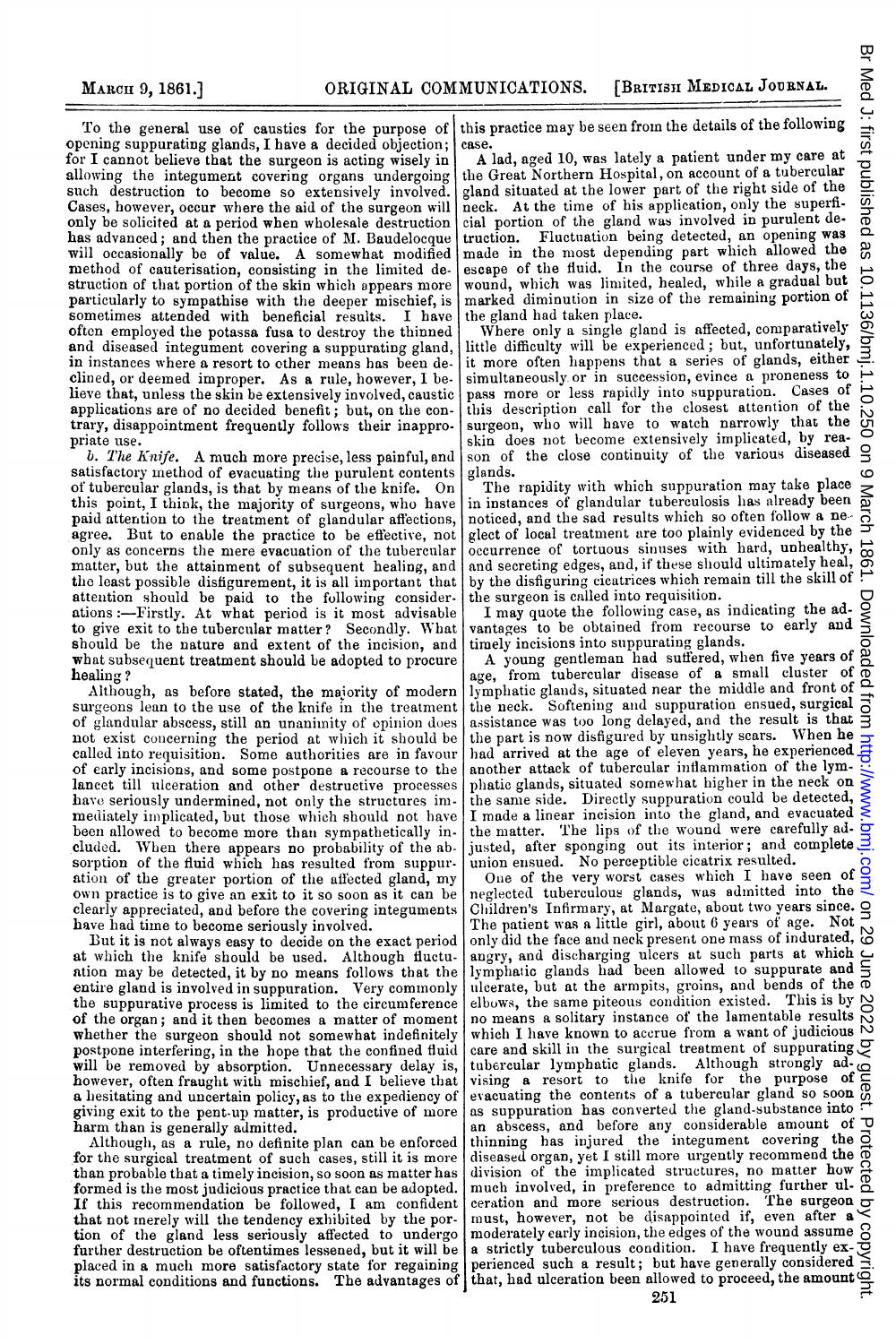Br Med J: first published as 10.1136/bm Br Med J. first published as 10.1136/bmj.1.10.250 on 9 March 1861. Downloaded from <http://www.bmj.com/> on 29 June 2022 by guest. Protected by copyright.  $\tilde{a}$ ဖ

opening suppurating glands, I have a decided objection; ease.<br>for I cannot believe that the surgeon is acting wisely in A lad, aged 10, was lately a patient under my care at for I cannot believe that the surgeon is acting wisely in A lad, aged 10, was lately a patient under my care at allowing the integument covering organs undergoing the Great Northern Hospital, on account of a tubercular allowing the integument covering organs undergoing such destruction to become so extensively involved. such destruction to become so extensively involved. gland situated at the lower part of the right side of the<br>Cases, however, occur where the aid of the surgeon will neck. At the time of his application, only the superfi-Cases, however, occur where the aid of the surgeon will neck. At the time of his application, only the superfi-<br>only be solicited at a period when wholesale destruction cial portion of the gland was involved in purulent de has advanced; and then the practice of M. Baudelocque will occasionally be of value. A somewhat modified will occasionally be of value. A somewhat modified made in the most depending part which allowed the Method of cauterisation, consisting in the limited de- escape of the fluid. In the course of three days, the struction of that portion of the skin which appears more wound, which was limited, healed, while a gradual but<br>particularly to sympathise with the deeper mischief, is marked diminution in size of the remaining portion of sometimes attended with beneficial results. I have often employed the potassa fusa to destroy the thinned and diseased integument covering a suppurating gland, in instances where a resort to other means has been declined, or deemed improper. As a rule, however, I be-<br>lieve that, unless the skin be extensively involved, caustic applications are of no decided benefit; but, on the con-<br>trary, disappointment frequently follows their inappro-

satisfactory method of evacuating the purulent contents of tubercular glands, is that by means of the knife. On this point, I think, the majority of surgeons, who have paid attention to the treatment of glandular affections, agree. But to enable the practice to be effective, not only as concerns the mere evacuation of the tubercular only as concerns the mere evacuation of the tubercular | occurrence of tortuous sinuses with hard, unhealthy,<br>matter, but the attainment of subsequent healing, and | and secreting edges, and, if these should ultimately hea attention should be paid to the following considerations:--Firstly. At what period is it most advisable ations :—Firstly. At what period is it most advisable | I may quote the following case, as indicating the ad-<br>to give exit to the tubercular matter? Secondly. What | vantages to be obtained from recourse to early and should be the nature and extent of the incision, and timely incisions into suppurating glands.<br>what subsequent treatment should be adopted to procure A young gentleman had suffered, wh what subsequent treatment should be adopted to procure <br>healing?<br>healing?<br>healing?

surgeons lean to the use of the knife in the treatment the neck. Softening and suppuration ensued, surgical<br>of glandular abscess, still an unanimity of opinion does assistance was too long delayed, and the result is that lancet till ulceration and other destructive processes have seriously undermined, not only the structures imhave seriously undermined, not only the structures im- the same side. Directly suppuration could be detected,<br>mediately implicated, but those which should not have I made a linear incision into the gland, and evacuated sorption of the fluid which has resulted from suppur-<br>ation of the greater portion of the affected gland, my ation of the greater portion of the affected gland, my One of the very worst cases which I have seen of own practice is to give an exit to it so soon as it can be neglected tuberculous glands, was admitted into the

at which the kinife should be used. Although fluctu- angry, and discharging ulcers at such parts at which ation may be detected, it by no means follows that the lymphatic glands had been allowed to suppurate and of the organ; and it then becomes a matter of moment whether the surgeon should not somewhat indefinitely postpone interfering, in the hope that the confined fluid | care and skill in the surgical treatment of suppurating<br>will be removed by absorption. Unnecessary delay is, | tubercular lymphatic glands. Although strongly ad-<br> giving exit to the pent-up matter, is productive of more harm than is generally admitted.

than probable that a timely incision, so soon as matter has | division of the implicated structures, no matter now<br>formed is the most judicious practice that can be adopted. | much involved, in preference to admitting furt

To the general use of caustics for the purpose of this practice may be seen from the details of the following<br>pening suppurating glands. I have a decided objection: case.

cial portion of the gland was involved in purulent detruction. Fluctuation being detected, an opening was marked diminution in size of the remaining portion of the gland had taken place.

Where only a single gland is affected, comparatively little difficulty will be experienced; but, unfortunately, it more often happens that a series of glands, either simultaneously or in succession, evince a proneness to pass more or less rapidly into suppuration. Cases of this description call for the closest attention of the trary, disappointment frequently follows their inappro- surgeon, who will have to watch narrowly that the<br>priate use. Skin does not become extensively implicated, by reab. The Knife. A much more precise, less painful, and  $\begin{bmatrix} \cos \theta & \sin \theta \\ \sin \theta & \sin \theta \end{bmatrix}$  the close continuity of the various diseased tisfactory method of evacuating the purulent contents glands.

The rapidity with which suppuration may take place<br>in instances of glandular tuberculosis has already been noticed, and the sad results which so often follow a ne-<br>glect of local treatment are too plainly evidenced by the the least possible disfigurement, it is all important that  $\frac{1}{2}$  by the disfiguring cicatrices which remain till the skill of  $\frac{1}{2}$  attention should be paid to the following consider- the surgeon is called into re

healing ?<br>Although, as before stated, the majority of modern lymphatic glands, situated near the middle and front of of glandular abscess, still an unanimity of opinion does assistance was too long delayed, and the result is that not exist concerning the period at which it should be the part is now disfigured by unsightly scars. When he called into requisition. Some authorities are in favour had arrived at the age of eleven years, he experienced  $\epsilon$  of early incisions, and some postpone a recourse to the another attack of tubercular inflammation of the of early incisions, and some postpone a recourse to the another attack of tubercular inflammation of the lymbeen allowed to become more than sympathetically in-<br>cluded. When there appears no probability of the ab-<br>justed, after sponging out its interior; and complete justed, after sponging out its interior; and complete  $\frac{3}{5}$  union ensued. No perceptible cicatrix resulted.

own practice is to give an exit to it so soon as it can be discussed. Cherry, at Margate, about two years since.  $\bigcirc$  clearly appreciated, and before the covering integuments  $\bigcirc$  The patient was a little girl, about 6 have had time to become seriously involved. The patient was a little girl, about 6 years of age. Not<br>But it is not always easy to decide on the exact period only did the face and neck present one mass of indurated, entire gland is involved in suppuration. Very commonly ulcerate, but at the armpits, groins, and bends of the  $\overline{\phi}$  the suppurative process is limited to the circumference elbows, the same piteous condition existed. Th elbows, the same piteous condition existed. This is by  $\infty$  no means a solitary instance of the lamentable results  $\infty$ which I have known to accrue from a want of judicious  $\frac{10}{2}$  care and skill in the surgical treatment of suppurating  $Q$ however, often fraught with mischief, and I believe that vising a resort to the knife for the purpose of  $\Xi$ <br>a lesitating and uncertain policy, as to the expediency of evacuating the contents of a tubercular gland so soo harm than is generally admitted.<br>Although, as a rule, no definite plan can be enforced thinning has injured the integument covering the<br>for the surgical treatment of such cases, still it is more diseased organ, yet I still tion of the gland less seriously affected to undergo moderately early incision, the edges of the wound assume S<br>further destruction be oftentimes lessened, but it will be a strictly tuberculous condition. I have frequently further destruction be oftentimes lessened, but it will be | a strictly tuberculous condition. I have frequently  $ex-\overline{y}$  placed in a much more satisfactory state for regaining | perienced such a result; but have general placed in a much more satisfactory state for regaining | perienced such a result; but have generally considered<br>its normal conditions and functions. The advantages of | that, had ulceration been allowed to proceed, the amo